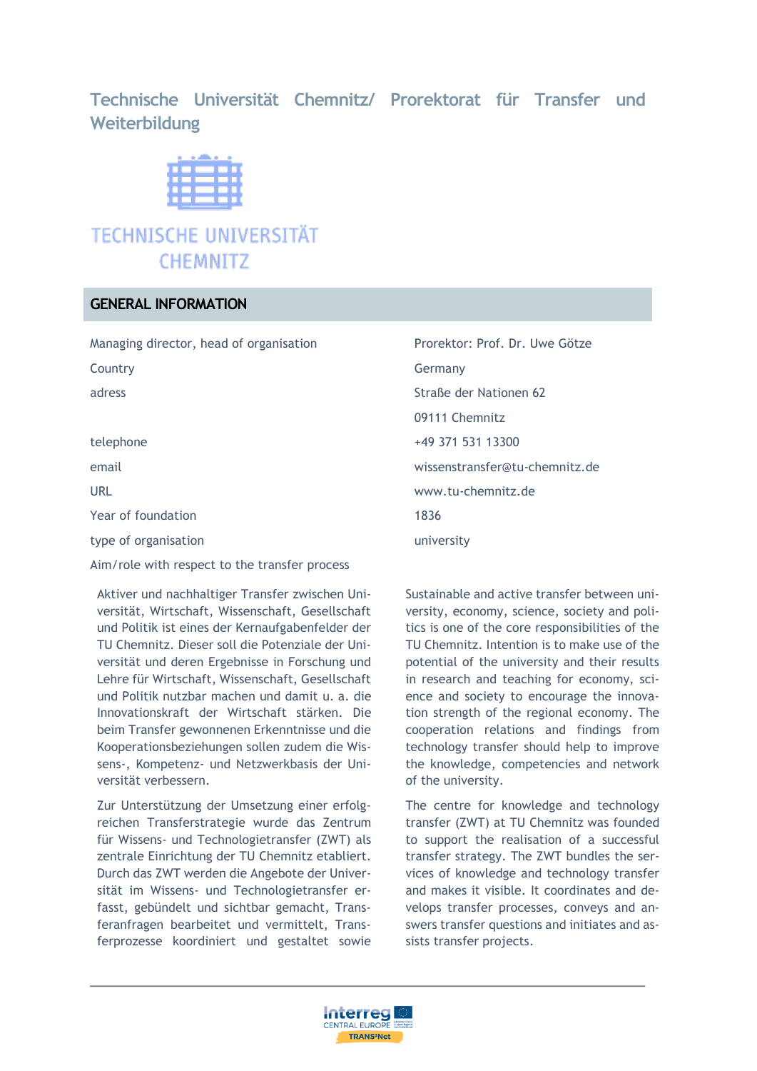## **Technische Universität Chemnitz/ Prorektorat für Transfer und Weiterbildung**

# **TECHNISCHE UNIVERSITÄT CHEMNITZ**

## **GENERAL INFORMATION**

Managing director, head of organisation Prorektor: Prof. Dr. Uwe Götze

Year of foundation 1836

type of organisation and the state of organisation and the state of organisation and the state of the state of the state of the state of the state of the state of the state of the state of the state of the state of the sta

Aim/role with respect to the transfer process

Aktiver und nachhaltiger Transfer zwischen Universität, Wirtschaft, Wissenschaft, Gesellschaft und Politik ist eines der Kernaufgabenfelder der TU Chemnitz. Dieser soll die Potenziale der Universität und deren Ergebnisse in Forschung und Lehre für Wirtschaft, Wissenschaft, Gesellschaft und Politik nutzbar machen und damit u. a. die Innovationskraft der Wirtschaft stärken. Die beim Transfer gewonnenen Erkenntnisse und die Kooperationsbeziehungen sollen zudem die Wissens-, Kompetenz- und Netzwerkbasis der Universität verbessern.

Zur Unterstützung der Umsetzung einer erfolgreichen Transferstrategie wurde das Zentrum für Wissens- und Technologietransfer (ZWT) als zentrale Einrichtung der TU Chemnitz etabliert. Durch das ZWT werden die Angebote der Universität im Wissens- und Technologietransfer erfasst, gebündelt und sichtbar gemacht, Transferanfragen bearbeitet und vermittelt, Transferprozesse koordiniert und gestaltet sowie

Country **Germany** Germany adress Straße der Nationen 62 09111 Chemnitz telephone +49 371 531 13300 email wissenstransfer@tu-chemnitz.de URL www.tu-chemnitz.de

> Sustainable and active transfer between university, economy, science, society and politics is one of the core responsibilities of the TU Chemnitz. Intention is to make use of the potential of the university and their results in research and teaching for economy, science and society to encourage the innovation strength of the regional economy. The cooperation relations and findings from technology transfer should help to improve the knowledge, competencies and network of the university.

> The centre for knowledge and technology transfer (ZWT) at TU Chemnitz was founded to support the realisation of a successful transfer strategy. The ZWT bundles the services of knowledge and technology transfer and makes it visible. It coordinates and develops transfer processes, conveys and answers transfer questions and initiates and assists transfer projects.

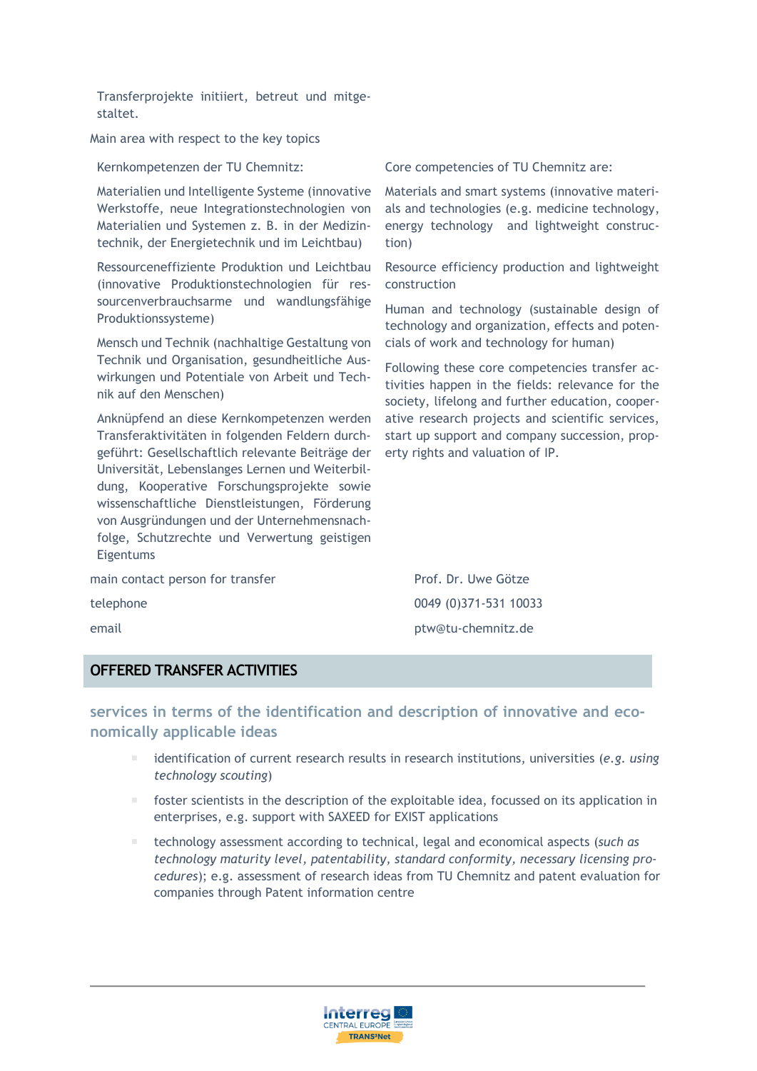Transferprojekte initiiert, betreut und mitgestaltet.

Main area with respect to the key topics

Kernkompetenzen der TU Chemnitz:

Materialien und Intelligente Systeme (innovative Werkstoffe, neue Integrationstechnologien von Materialien und Systemen z. B. in der Medizintechnik, der Energietechnik und im Leichtbau)

Ressourceneffiziente Produktion und Leichtbau (innovative Produktionstechnologien für ressourcenverbrauchsarme und wandlungsfähige Produktionssysteme)

Mensch und Technik (nachhaltige Gestaltung von Technik und Organisation, gesundheitliche Auswirkungen und Potentiale von Arbeit und Technik auf den Menschen)

Anknüpfend an diese Kernkompetenzen werden Transferaktivitäten in folgenden Feldern durchgeführt: Gesellschaftlich relevante Beiträge der Universität, Lebenslanges Lernen und Weiterbildung, Kooperative Forschungsprojekte sowie wissenschaftliche Dienstleistungen, Förderung von Ausgründungen und der Unternehmensnachfolge, Schutzrechte und Verwertung geistigen Eigentums

main contact person for transfer Prof. Dr. Uwe Götze telephone 0049 (0)371-531 10033

Core competencies of TU Chemnitz are:

Materials and smart systems (innovative materials and technologies (e.g. medicine technology, energy technology and lightweight construction)

Resource efficiency production and lightweight construction

Human and technology (sustainable design of technology and organization, effects and potencials of work and technology for human)

Following these core competencies transfer activities happen in the fields: relevance for the society, lifelong and further education, cooperative research projects and scientific services, start up support and company succession, property rights and valuation of IP.

email ptw@tu-chemnitz.de

#### **OFFERED TRANSFER ACTIVITIES**

**services in terms of the identification and description of innovative and economically applicable ideas**

- identification of current research results in research institutions, universities (*e.g. using technology scouting*)
- foster scientists in the description of the exploitable idea, focussed on its application in enterprises, e.g. support with SAXEED for EXIST applications
- technology assessment according to technical, legal and economical aspects (*such as technology maturity level, patentability, standard conformity, necessary licensing procedures*); e.g. assessment of research ideas from TU Chemnitz and patent evaluation for companies through Patent information centre

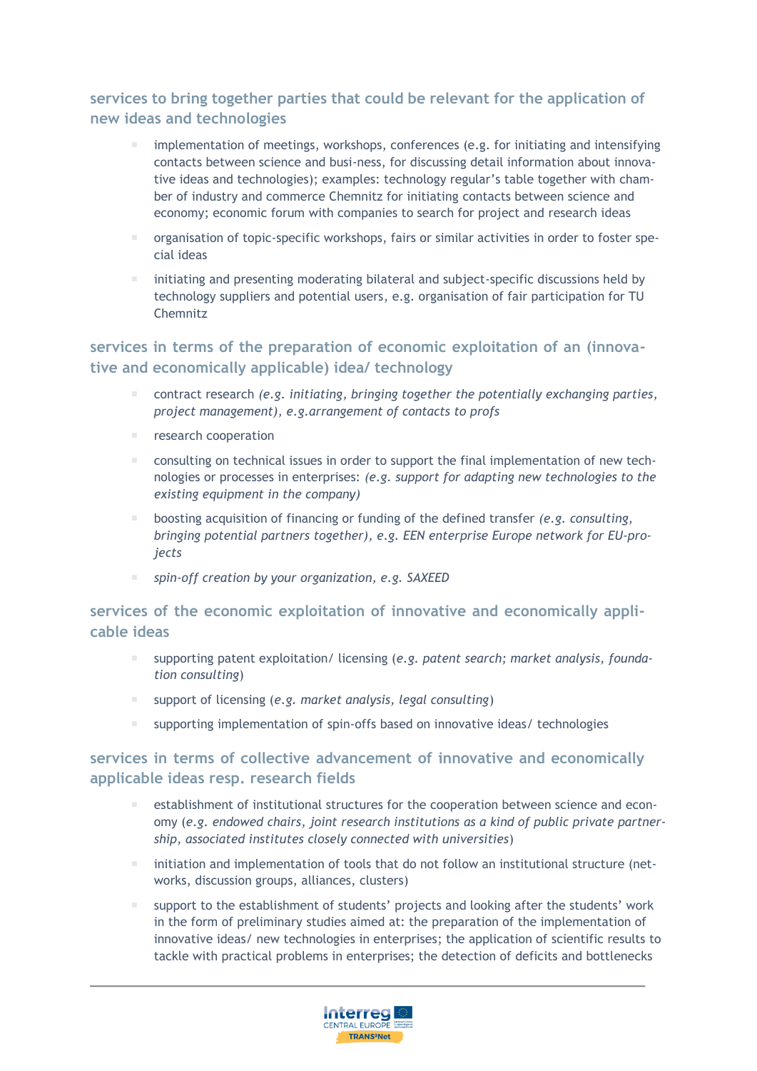## **services to bring together parties that could be relevant for the application of new ideas and technologies**

- **indumentation of meetings, workshops, conferences (e.g. for initiating and intensifying** contacts between science and busi-ness, for discussing detail information about innovative ideas and technologies); examples: technology regular's table together with chamber of industry and commerce Chemnitz for initiating contacts between science and economy; economic forum with companies to search for project and research ideas
- organisation of topic-specific workshops, fairs or similar activities in order to foster special ideas
- initiating and presenting moderating bilateral and subject-specific discussions held by technology suppliers and potential users, e.g. organisation of fair participation for TU Chemnitz

## **services in terms of the preparation of economic exploitation of an (innovative and economically applicable) idea/ technology**

- contract research *(e.g. initiating, bringing together the potentially exchanging parties, project management), e.g.arrangement of contacts to profs*
- research cooperation
- consulting on technical issues in order to support the final implementation of new technologies or processes in enterprises: *(e.g. support for adapting new technologies to the existing equipment in the company)*
- boosting acquisition of financing or funding of the defined transfer *(e.g. consulting, bringing potential partners together), e.g. EEN enterprise Europe network for EU-projects*
- *spin-off creation by your organization, e.g. SAXEED*

## **services of the economic exploitation of innovative and economically applicable ideas**

- supporting patent exploitation/ licensing (*e.g. patent search; market analysis, foundation consulting*)
- support of licensing (*e.g. market analysis, legal consulting*)
- supporting implementation of spin-offs based on innovative ideas/ technologies

## **services in terms of collective advancement of innovative and economically applicable ideas resp. research fields**

- establishment of institutional structures for the cooperation between science and economy (*e.g. endowed chairs, joint research institutions as a kind of public private partnership, associated institutes closely connected with universities*)
- $\blacksquare$  initiation and implementation of tools that do not follow an institutional structure (networks, discussion groups, alliances, clusters)
- support to the establishment of students' projects and looking after the students' work in the form of preliminary studies aimed at: the preparation of the implementation of innovative ideas/ new technologies in enterprises; the application of scientific results to tackle with practical problems in enterprises; the detection of deficits and bottlenecks